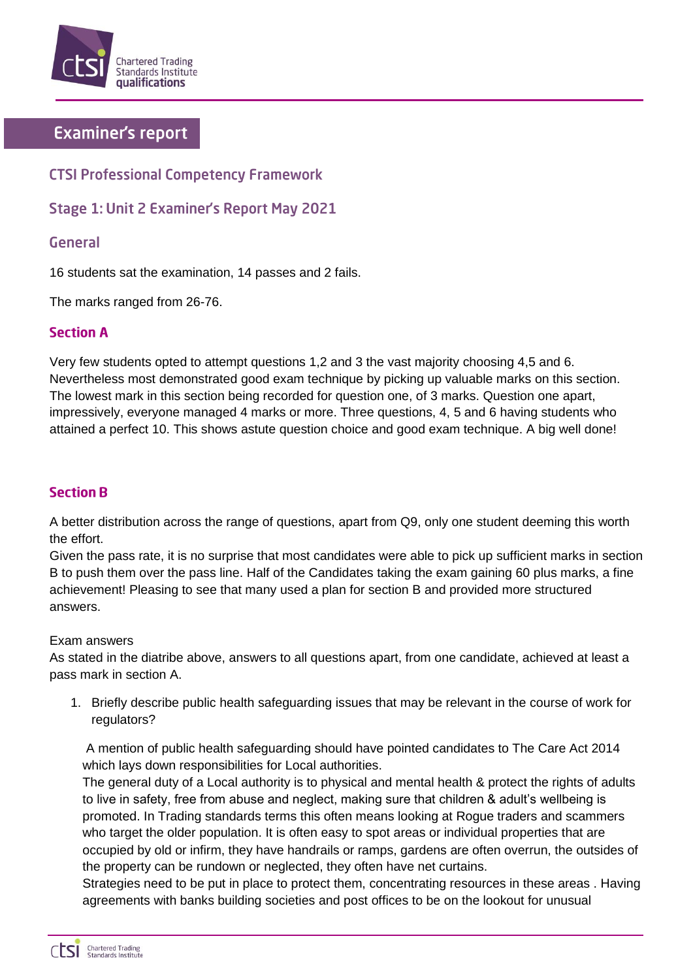

# **Examiner's report**

# **CTSI Professional Competency Framework**

## **Stage 1: Unit 2 Examiner's Report May 2021**

### General

16 students sat the examination, 14 passes and 2 fails.

The marks ranged from 26-76.

#### **Section A**

Very few students opted to attempt questions 1,2 and 3 the vast majority choosing 4,5 and 6. Nevertheless most demonstrated good exam technique by picking up valuable marks on this section. The lowest mark in this section being recorded for question one, of 3 marks. Question one apart, impressively, everyone managed 4 marks or more. Three questions, 4, 5 and 6 having students who attained a perfect 10. This shows astute question choice and good exam technique. A big well done!

### **Section B**

A better distribution across the range of questions, apart from Q9, only one student deeming this worth the effort.

Given the pass rate, it is no surprise that most candidates were able to pick up sufficient marks in section B to push them over the pass line. Half of the Candidates taking the exam gaining 60 plus marks, a fine achievement! Pleasing to see that many used a plan for section B and provided more structured answers.

#### Exam answers

As stated in the diatribe above, answers to all questions apart, from one candidate, achieved at least a pass mark in section A.

1. Briefly describe public health safeguarding issues that may be relevant in the course of work for regulators?

A mention of public health safeguarding should have pointed candidates to The Care Act 2014 which lays down responsibilities for Local authorities.

The general duty of a Local authority is to physical and mental health & protect the rights of adults to live in safety, free from abuse and neglect, making sure that children & adult's wellbeing is promoted. In Trading standards terms this often means looking at Rogue traders and scammers who target the older population. It is often easy to spot areas or individual properties that are occupied by old or infirm, they have handrails or ramps, gardens are often overrun, the outsides of the property can be rundown or neglected, they often have net curtains.

Strategies need to be put in place to protect them, concentrating resources in these areas . Having agreements with banks building societies and post offices to be on the lookout for unusual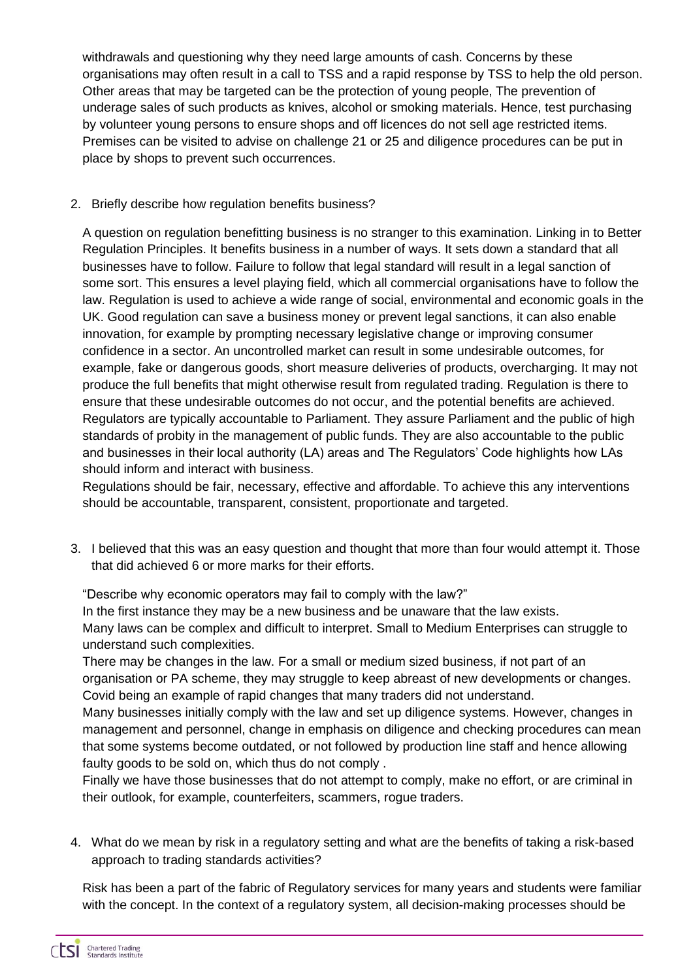withdrawals and questioning why they need large amounts of cash. Concerns by these organisations may often result in a call to TSS and a rapid response by TSS to help the old person. Other areas that may be targeted can be the protection of young people, The prevention of underage sales of such products as knives, alcohol or smoking materials. Hence, test purchasing by volunteer young persons to ensure shops and off licences do not sell age restricted items. Premises can be visited to advise on challenge 21 or 25 and diligence procedures can be put in place by shops to prevent such occurrences.

#### 2. Briefly describe how regulation benefits business?

A question on regulation benefitting business is no stranger to this examination. Linking in to Better Regulation Principles. It benefits business in a number of ways. It sets down a standard that all businesses have to follow. Failure to follow that legal standard will result in a legal sanction of some sort. This ensures a level playing field, which all commercial organisations have to follow the law. Regulation is used to achieve a wide range of social, environmental and economic goals in the UK. Good regulation can save a business money or prevent legal sanctions, it can also enable innovation, for example by prompting necessary legislative change or improving consumer confidence in a sector. An uncontrolled market can result in some undesirable outcomes, for example, fake or dangerous goods, short measure deliveries of products, overcharging. It may not produce the full benefits that might otherwise result from regulated trading. Regulation is there to ensure that these undesirable outcomes do not occur, and the potential benefits are achieved. Regulators are typically accountable to Parliament. They assure Parliament and the public of high standards of probity in the management of public funds. They are also accountable to the public and businesses in their local authority (LA) areas and The Regulators' Code highlights how LAs should inform and interact with business.

Regulations should be fair, necessary, effective and affordable. To achieve this any interventions should be accountable, transparent, consistent, proportionate and targeted.

3. I believed that this was an easy question and thought that more than four would attempt it. Those that did achieved 6 or more marks for their efforts.

"Describe why economic operators may fail to comply with the law?"

In the first instance they may be a new business and be unaware that the law exists. Many laws can be complex and difficult to interpret. Small to Medium Enterprises can struggle to understand such complexities.

There may be changes in the law. For a small or medium sized business, if not part of an organisation or PA scheme, they may struggle to keep abreast of new developments or changes. Covid being an example of rapid changes that many traders did not understand.

Many businesses initially comply with the law and set up diligence systems. However, changes in management and personnel, change in emphasis on diligence and checking procedures can mean that some systems become outdated, or not followed by production line staff and hence allowing faulty goods to be sold on, which thus do not comply .

Finally we have those businesses that do not attempt to comply, make no effort, or are criminal in their outlook, for example, counterfeiters, scammers, rogue traders.

4. What do we mean by risk in a regulatory setting and what are the benefits of taking a risk-based approach to trading standards activities?

Risk has been a part of the fabric of Regulatory services for many years and students were familiar with the concept. In the context of a regulatory system, all decision-making processes should be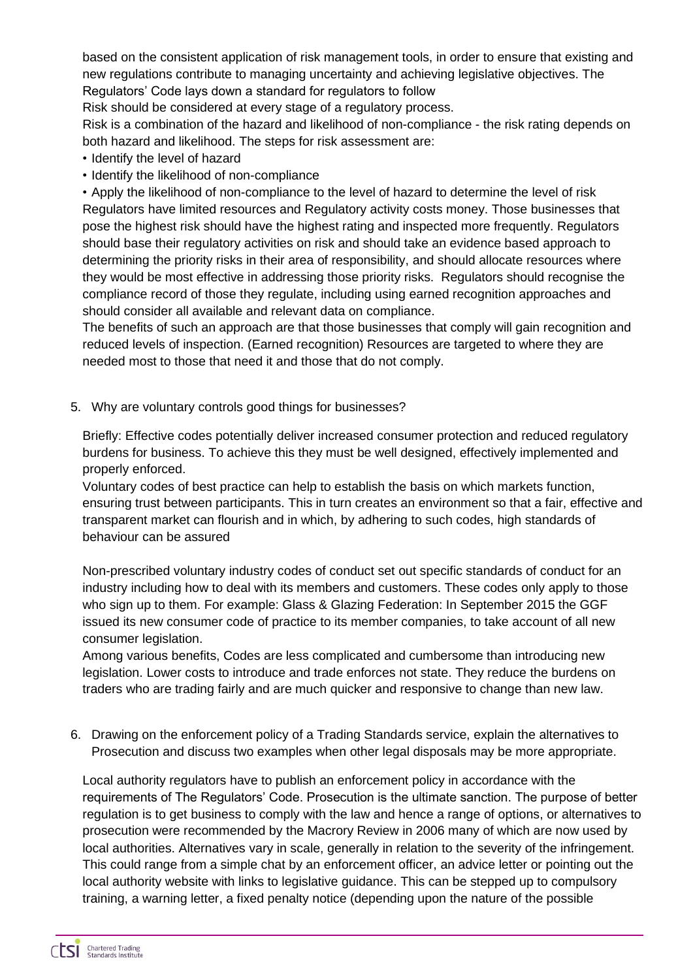based on the consistent application of risk management tools, in order to ensure that existing and new regulations contribute to managing uncertainty and achieving legislative objectives. The Regulators' Code lays down a standard for regulators to follow

Risk should be considered at every stage of a regulatory process.

Risk is a combination of the hazard and likelihood of non-compliance - the risk rating depends on both hazard and likelihood. The steps for risk assessment are:

- Identify the level of hazard
- Identify the likelihood of non-compliance

• Apply the likelihood of non-compliance to the level of hazard to determine the level of risk Regulators have limited resources and Regulatory activity costs money. Those businesses that pose the highest risk should have the highest rating and inspected more frequently. Regulators should base their regulatory activities on risk and should take an evidence based approach to determining the priority risks in their area of responsibility, and should allocate resources where they would be most effective in addressing those priority risks. Regulators should recognise the compliance record of those they regulate, including using earned recognition approaches and should consider all available and relevant data on compliance.

The benefits of such an approach are that those businesses that comply will gain recognition and reduced levels of inspection. (Earned recognition) Resources are targeted to where they are needed most to those that need it and those that do not comply.

5. Why are voluntary controls good things for businesses?

Briefly: Effective codes potentially deliver increased consumer protection and reduced regulatory burdens for business. To achieve this they must be well designed, effectively implemented and properly enforced.

Voluntary codes of best practice can help to establish the basis on which markets function, ensuring trust between participants. This in turn creates an environment so that a fair, effective and transparent market can flourish and in which, by adhering to such codes, high standards of behaviour can be assured

Non-prescribed voluntary industry codes of conduct set out specific standards of conduct for an industry including how to deal with its members and customers. These codes only apply to those who sign up to them. For example: Glass & Glazing Federation: In September 2015 the GGF issued its new consumer code of practice to its member companies, to take account of all new consumer legislation.

Among various benefits, Codes are less complicated and cumbersome than introducing new legislation. Lower costs to introduce and trade enforces not state. They reduce the burdens on traders who are trading fairly and are much quicker and responsive to change than new law.

6. Drawing on the enforcement policy of a Trading Standards service, explain the alternatives to Prosecution and discuss two examples when other legal disposals may be more appropriate.

Local authority regulators have to publish an enforcement policy in accordance with the requirements of The Regulators' Code. Prosecution is the ultimate sanction. The purpose of better regulation is to get business to comply with the law and hence a range of options, or alternatives to prosecution were recommended by the Macrory Review in 2006 many of which are now used by local authorities. Alternatives vary in scale, generally in relation to the severity of the infringement. This could range from a simple chat by an enforcement officer, an advice letter or pointing out the local authority website with links to legislative guidance. This can be stepped up to compulsory training, a warning letter, a fixed penalty notice (depending upon the nature of the possible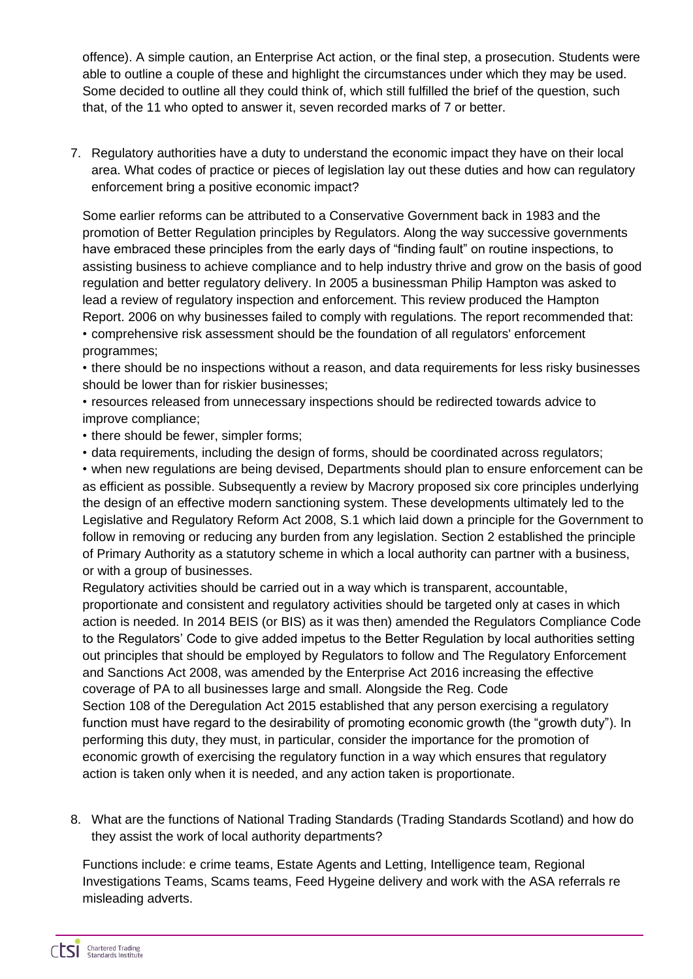offence). A simple caution, an Enterprise Act action, or the final step, a prosecution. Students were able to outline a couple of these and highlight the circumstances under which they may be used. Some decided to outline all they could think of, which still fulfilled the brief of the question, such that, of the 11 who opted to answer it, seven recorded marks of 7 or better.

7. Regulatory authorities have a duty to understand the economic impact they have on their local area. What codes of practice or pieces of legislation lay out these duties and how can regulatory enforcement bring a positive economic impact?

Some earlier reforms can be attributed to a Conservative Government back in 1983 and the promotion of Better Regulation principles by Regulators. Along the way successive governments have embraced these principles from the early days of "finding fault" on routine inspections, to assisting business to achieve compliance and to help industry thrive and grow on the basis of good regulation and better regulatory delivery. In 2005 a businessman Philip Hampton was asked to lead a review of regulatory inspection and enforcement. This review produced the Hampton Report. 2006 on why businesses failed to comply with regulations. The report recommended that: • comprehensive risk assessment should be the foundation of all regulators' enforcement

programmes;

• there should be no inspections without a reason, and data requirements for less risky businesses should be lower than for riskier businesses;

• resources released from unnecessary inspections should be redirected towards advice to improve compliance;

• there should be fewer, simpler forms;

• data requirements, including the design of forms, should be coordinated across regulators;

• when new regulations are being devised, Departments should plan to ensure enforcement can be as efficient as possible. Subsequently a review by Macrory proposed six core principles underlying the design of an effective modern sanctioning system. These developments ultimately led to the Legislative and Regulatory Reform Act 2008, S.1 which laid down a principle for the Government to follow in removing or reducing any burden from any legislation. Section 2 established the principle of Primary Authority as a statutory scheme in which a local authority can partner with a business, or with a group of businesses.

Regulatory activities should be carried out in a way which is transparent, accountable, proportionate and consistent and regulatory activities should be targeted only at cases in which action is needed. In 2014 BEIS (or BIS) as it was then) amended the Regulators Compliance Code to the Regulators' Code to give added impetus to the Better Regulation by local authorities setting out principles that should be employed by Regulators to follow and The Regulatory Enforcement and Sanctions Act 2008, was amended by the Enterprise Act 2016 increasing the effective coverage of PA to all businesses large and small. Alongside the Reg. Code Section 108 of the Deregulation Act 2015 established that any person exercising a regulatory function must have regard to the desirability of promoting economic growth (the "growth duty"). In performing this duty, they must, in particular, consider the importance for the promotion of economic growth of exercising the regulatory function in a way which ensures that regulatory

- action is taken only when it is needed, and any action taken is proportionate.
- 8. What are the functions of National Trading Standards (Trading Standards Scotland) and how do they assist the work of local authority departments?

Functions include: e crime teams, Estate Agents and Letting, Intelligence team, Regional Investigations Teams, Scams teams, Feed Hygeine delivery and work with the ASA referrals re misleading adverts.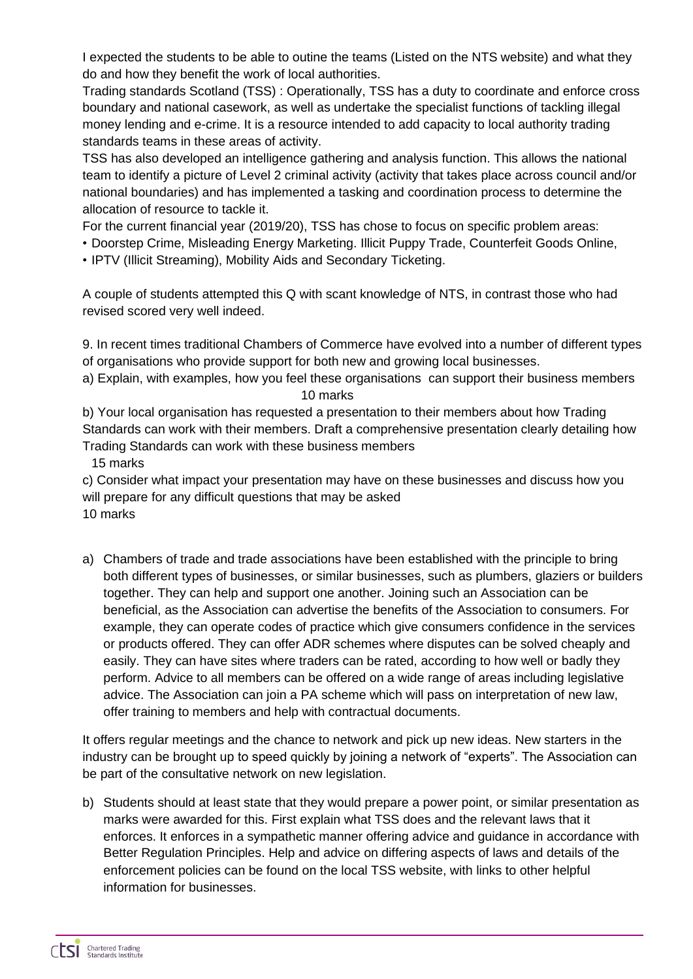I expected the students to be able to outine the teams (Listed on the NTS website) and what they do and how they benefit the work of local authorities.

Trading standards Scotland (TSS) : Operationally, TSS has a duty to coordinate and enforce cross boundary and national casework, as well as undertake the specialist functions of tackling illegal money lending and e-crime. It is a resource intended to add capacity to local authority trading standards teams in these areas of activity.

TSS has also developed an intelligence gathering and analysis function. This allows the national team to identify a picture of Level 2 criminal activity (activity that takes place across council and/or national boundaries) and has implemented a tasking and coordination process to determine the allocation of resource to tackle it.

For the current financial year (2019/20), TSS has chose to focus on specific problem areas:

• Doorstep Crime, Misleading Energy Marketing. Illicit Puppy Trade, Counterfeit Goods Online,

• IPTV (Illicit Streaming), Mobility Aids and Secondary Ticketing.

A couple of students attempted this Q with scant knowledge of NTS, in contrast those who had revised scored very well indeed.

9. In recent times traditional Chambers of Commerce have evolved into a number of different types of organisations who provide support for both new and growing local businesses.

a) Explain, with examples, how you feel these organisations can support their business members 10 marks

b) Your local organisation has requested a presentation to their members about how Trading Standards can work with their members. Draft a comprehensive presentation clearly detailing how Trading Standards can work with these business members

15 marks

c) Consider what impact your presentation may have on these businesses and discuss how you will prepare for any difficult questions that may be asked

10 marks

a) Chambers of trade and trade associations have been established with the principle to bring both different types of businesses, or similar businesses, such as plumbers, glaziers or builders together. They can help and support one another. Joining such an Association can be beneficial, as the Association can advertise the benefits of the Association to consumers. For example, they can operate codes of practice which give consumers confidence in the services or products offered. They can offer ADR schemes where disputes can be solved cheaply and easily. They can have sites where traders can be rated, according to how well or badly they perform. Advice to all members can be offered on a wide range of areas including legislative advice. The Association can join a PA scheme which will pass on interpretation of new law, offer training to members and help with contractual documents.

It offers regular meetings and the chance to network and pick up new ideas. New starters in the industry can be brought up to speed quickly by joining a network of "experts". The Association can be part of the consultative network on new legislation.

b) Students should at least state that they would prepare a power point, or similar presentation as marks were awarded for this. First explain what TSS does and the relevant laws that it enforces. It enforces in a sympathetic manner offering advice and guidance in accordance with Better Regulation Principles. Help and advice on differing aspects of laws and details of the enforcement policies can be found on the local TSS website, with links to other helpful information for businesses.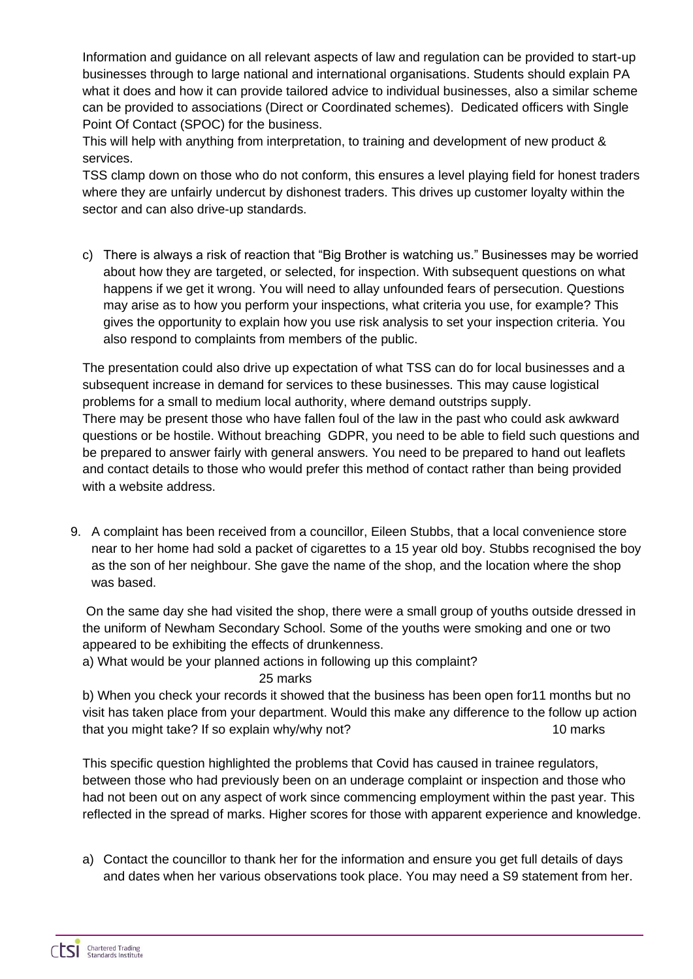Information and guidance on all relevant aspects of law and regulation can be provided to start-up businesses through to large national and international organisations. Students should explain PA what it does and how it can provide tailored advice to individual businesses, also a similar scheme can be provided to associations (Direct or Coordinated schemes). Dedicated officers with Single Point Of Contact (SPOC) for the business.

This will help with anything from interpretation, to training and development of new product & services.

TSS clamp down on those who do not conform, this ensures a level playing field for honest traders where they are unfairly undercut by dishonest traders. This drives up customer loyalty within the sector and can also drive-up standards.

c) There is always a risk of reaction that "Big Brother is watching us." Businesses may be worried about how they are targeted, or selected, for inspection. With subsequent questions on what happens if we get it wrong. You will need to allay unfounded fears of persecution. Questions may arise as to how you perform your inspections, what criteria you use, for example? This gives the opportunity to explain how you use risk analysis to set your inspection criteria. You also respond to complaints from members of the public.

The presentation could also drive up expectation of what TSS can do for local businesses and a subsequent increase in demand for services to these businesses. This may cause logistical problems for a small to medium local authority, where demand outstrips supply. There may be present those who have fallen foul of the law in the past who could ask awkward questions or be hostile. Without breaching GDPR, you need to be able to field such questions and be prepared to answer fairly with general answers. You need to be prepared to hand out leaflets and contact details to those who would prefer this method of contact rather than being provided with a website address.

9. A complaint has been received from a councillor, Eileen Stubbs, that a local convenience store near to her home had sold a packet of cigarettes to a 15 year old boy. Stubbs recognised the boy as the son of her neighbour. She gave the name of the shop, and the location where the shop was based.

On the same day she had visited the shop, there were a small group of youths outside dressed in the uniform of Newham Secondary School. Some of the youths were smoking and one or two appeared to be exhibiting the effects of drunkenness.

a) What would be your planned actions in following up this complaint?

25 marks

b) When you check your records it showed that the business has been open for11 months but no visit has taken place from your department. Would this make any difference to the follow up action that you might take? If so explain why/why not? 10 marks

This specific question highlighted the problems that Covid has caused in trainee regulators, between those who had previously been on an underage complaint or inspection and those who had not been out on any aspect of work since commencing employment within the past year. This reflected in the spread of marks. Higher scores for those with apparent experience and knowledge.

a) Contact the councillor to thank her for the information and ensure you get full details of days and dates when her various observations took place. You may need a S9 statement from her.